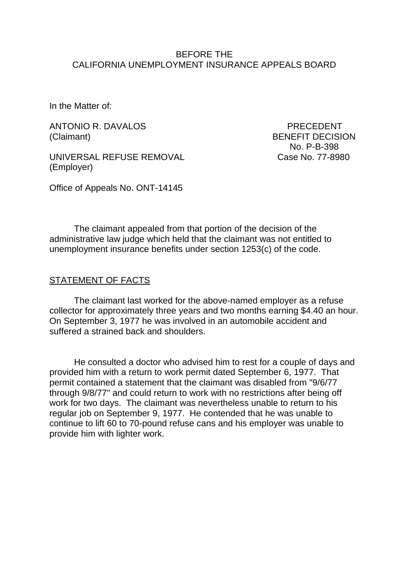### BEFORE THE CALIFORNIA UNEMPLOYMENT INSURANCE APPEALS BOARD

In the Matter of:

ANTONIO R. DAVALOS PRECEDENT (Claimant) BENEFIT DECISION

UNIVERSAL REFUSE REMOVAL Case No. 77-8980 (Employer)

No. P-B-398

Office of Appeals No. ONT-14145

The claimant appealed from that portion of the decision of the administrative law judge which held that the claimant was not entitled to unemployment insurance benefits under section 1253(c) of the code.

#### STATEMENT OF FACTS

The claimant last worked for the above-named employer as a refuse collector for approximately three years and two months earning \$4.40 an hour. On September 3, 1977 he was involved in an automobile accident and suffered a strained back and shoulders.

He consulted a doctor who advised him to rest for a couple of days and provided him with a return to work permit dated September 6, 1977. That permit contained a statement that the claimant was disabled from "9/6/77 through 9/8/77" and could return to work with no restrictions after being off work for two days. The claimant was nevertheless unable to return to his regular job on September 9, 1977. He contended that he was unable to continue to lift 60 to 70-pound refuse cans and his employer was unable to provide him with lighter work.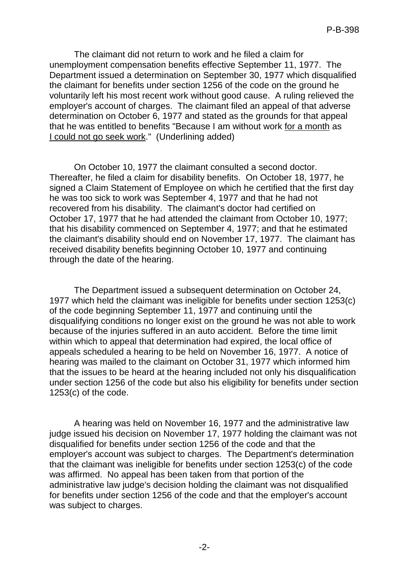The claimant did not return to work and he filed a claim for unemployment compensation benefits effective September 11, 1977. The Department issued a determination on September 30, 1977 which disqualified the claimant for benefits under section 1256 of the code on the ground he voluntarily left his most recent work without good cause. A ruling relieved the employer's account of charges. The claimant filed an appeal of that adverse determination on October 6, 1977 and stated as the grounds for that appeal that he was entitled to benefits "Because I am without work for a month as I could not go seek work." (Underlining added)

On October 10, 1977 the claimant consulted a second doctor. Thereafter, he filed a claim for disability benefits. On October 18, 1977, he signed a Claim Statement of Employee on which he certified that the first day he was too sick to work was September 4, 1977 and that he had not recovered from his disability. The claimant's doctor had certified on October 17, 1977 that he had attended the claimant from October 10, 1977; that his disability commenced on September 4, 1977; and that he estimated the claimant's disability should end on November 17, 1977. The claimant has received disability benefits beginning October 10, 1977 and continuing through the date of the hearing.

The Department issued a subsequent determination on October 24, 1977 which held the claimant was ineligible for benefits under section 1253(c) of the code beginning September 11, 1977 and continuing until the disqualifying conditions no longer exist on the ground he was not able to work because of the injuries suffered in an auto accident. Before the time limit within which to appeal that determination had expired, the local office of appeals scheduled a hearing to be held on November 16, 1977. A notice of hearing was mailed to the claimant on October 31, 1977 which informed him that the issues to be heard at the hearing included not only his disqualification under section 1256 of the code but also his eligibility for benefits under section 1253(c) of the code.

A hearing was held on November 16, 1977 and the administrative law judge issued his decision on November 17, 1977 holding the claimant was not disqualified for benefits under section 1256 of the code and that the employer's account was subject to charges. The Department's determination that the claimant was ineligible for benefits under section 1253(c) of the code was affirmed. No appeal has been taken from that portion of the administrative law judge's decision holding the claimant was not disqualified for benefits under section 1256 of the code and that the employer's account was subject to charges.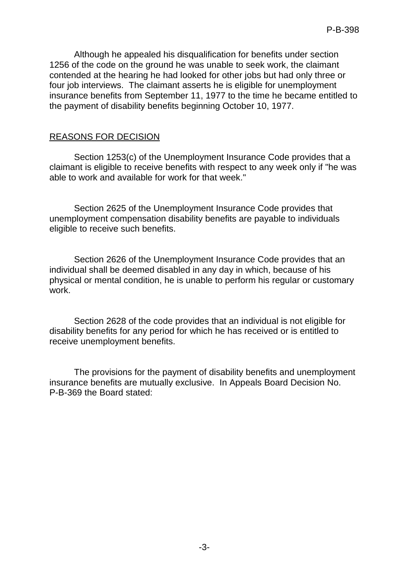Although he appealed his disqualification for benefits under section 1256 of the code on the ground he was unable to seek work, the claimant contended at the hearing he had looked for other jobs but had only three or four iob interviews. The claimant asserts he is eligible for unemployment insurance benefits from September 11, 1977 to the time he became entitled to the payment of disability benefits beginning October 10, 1977.

### REASONS FOR DECISION

Section 1253(c) of the Unemployment Insurance Code provides that a claimant is eligible to receive benefits with respect to any week only if "he was able to work and available for work for that week."

Section 2625 of the Unemployment Insurance Code provides that unemployment compensation disability benefits are payable to individuals eligible to receive such benefits.

Section 2626 of the Unemployment Insurance Code provides that an individual shall be deemed disabled in any day in which, because of his physical or mental condition, he is unable to perform his regular or customary work.

Section 2628 of the code provides that an individual is not eligible for disability benefits for any period for which he has received or is entitled to receive unemployment benefits.

The provisions for the payment of disability benefits and unemployment insurance benefits are mutually exclusive. In Appeals Board Decision No. P-B-369 the Board stated: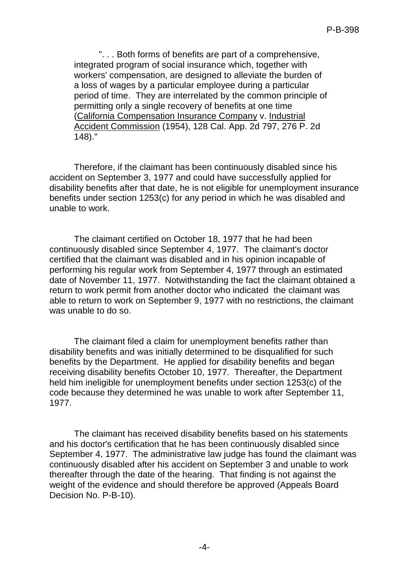". . . Both forms of benefits are part of a comprehensive, integrated program of social insurance which, together with workers' compensation, are designed to alleviate the burden of a loss of wages by a particular employee during a particular period of time. They are interrelated by the common principle of permitting only a single recovery of benefits at one time (California Compensation Insurance Company v. Industrial Accident Commission (1954), 128 Cal. App. 2d 797, 276 P. 2d 148)."

Therefore, if the claimant has been continuously disabled since his accident on September 3, 1977 and could have successfully applied for disability benefits after that date, he is not eligible for unemployment insurance benefits under section 1253(c) for any period in which he was disabled and unable to work.

The claimant certified on October 18, 1977 that he had been continuously disabled since September 4, 1977. The claimant's doctor certified that the claimant was disabled and in his opinion incapable of performing his regular work from September 4, 1977 through an estimated date of November 11, 1977. Notwithstanding the fact the claimant obtained a return to work permit from another doctor who indicated the claimant was able to return to work on September 9, 1977 with no restrictions, the claimant was unable to do so.

The claimant filed a claim for unemployment benefits rather than disability benefits and was initially determined to be disqualified for such benefits by the Department. He applied for disability benefits and began receiving disability benefits October 10, 1977. Thereafter, the Department held him ineligible for unemployment benefits under section 1253(c) of the code because they determined he was unable to work after September 11, 1977.

The claimant has received disability benefits based on his statements and his doctor's certification that he has been continuously disabled since September 4, 1977. The administrative law judge has found the claimant was continuously disabled after his accident on September 3 and unable to work thereafter through the date of the hearing. That finding is not against the weight of the evidence and should therefore be approved (Appeals Board Decision No. P-B-10).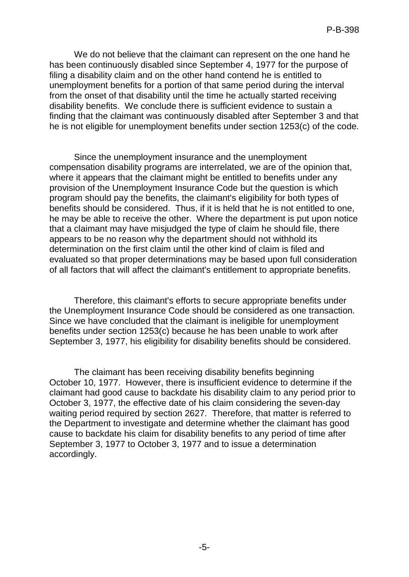We do not believe that the claimant can represent on the one hand he has been continuously disabled since September 4, 1977 for the purpose of filing a disability claim and on the other hand contend he is entitled to unemployment benefits for a portion of that same period during the interval from the onset of that disability until the time he actually started receiving disability benefits. We conclude there is sufficient evidence to sustain a finding that the claimant was continuously disabled after September 3 and that he is not eligible for unemployment benefits under section 1253(c) of the code.

Since the unemployment insurance and the unemployment compensation disability programs are interrelated, we are of the opinion that, where it appears that the claimant might be entitled to benefits under any provision of the Unemployment Insurance Code but the question is which program should pay the benefits, the claimant's eligibility for both types of benefits should be considered. Thus, if it is held that he is not entitled to one, he may be able to receive the other. Where the department is put upon notice that a claimant may have misjudged the type of claim he should file, there appears to be no reason why the department should not withhold its determination on the first claim until the other kind of claim is filed and evaluated so that proper determinations may be based upon full consideration of all factors that will affect the claimant's entitlement to appropriate benefits.

Therefore, this claimant's efforts to secure appropriate benefits under the Unemployment Insurance Code should be considered as one transaction. Since we have concluded that the claimant is ineligible for unemployment benefits under section 1253(c) because he has been unable to work after September 3, 1977, his eligibility for disability benefits should be considered.

The claimant has been receiving disability benefits beginning October 10, 1977. However, there is insufficient evidence to determine if the claimant had good cause to backdate his disability claim to any period prior to October 3, 1977, the effective date of his claim considering the seven-day waiting period required by section 2627. Therefore, that matter is referred to the Department to investigate and determine whether the claimant has good cause to backdate his claim for disability benefits to any period of time after September 3, 1977 to October 3, 1977 and to issue a determination accordingly.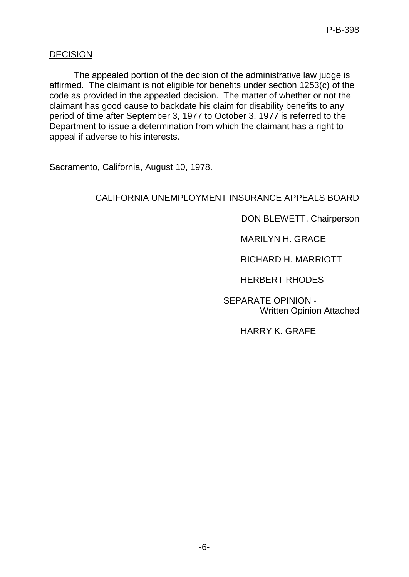## **DECISION**

The appealed portion of the decision of the administrative law judge is affirmed. The claimant is not eligible for benefits under section 1253(c) of the code as provided in the appealed decision. The matter of whether or not the claimant has good cause to backdate his claim for disability benefits to any period of time after September 3, 1977 to October 3, 1977 is referred to the Department to issue a determination from which the claimant has a right to appeal if adverse to his interests.

Sacramento, California, August 10, 1978.

# CALIFORNIA UNEMPLOYMENT INSURANCE APPEALS BOARD

DON BLEWETT, Chairperson

MARILYN H. GRACE

RICHARD H. MARRIOTT

HERBERT RHODES

SEPARATE OPINION - Written Opinion Attached

HARRY K. GRAFE